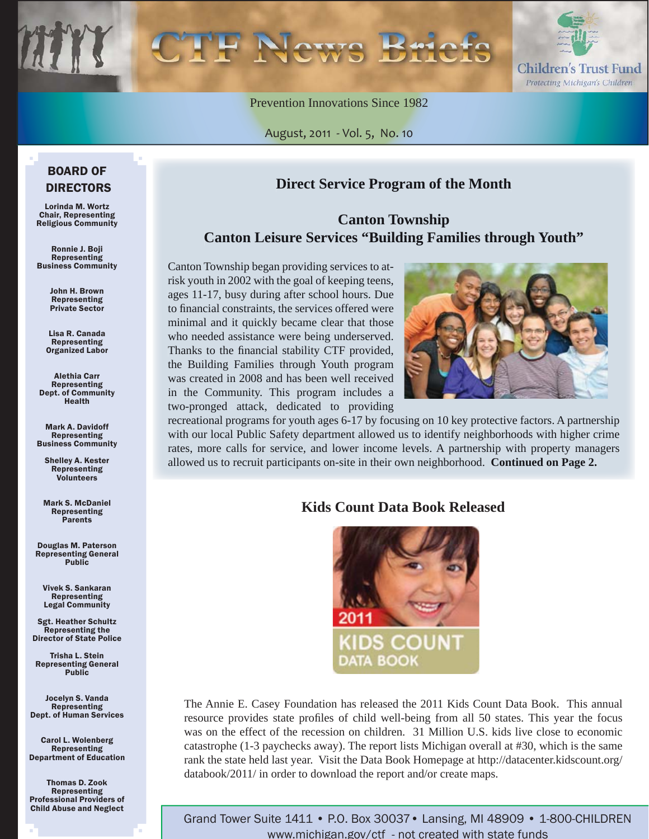

Prevention Innovations Since 1982

August, 2011 - Vol. 5, No. 10

# **Direct Service Program of the Month**

## **Canton Township Canton Leisure Services "Building Families through Youth"**

Canton Township began providing services to atrisk youth in 2002 with the goal of keeping teens, ages 11-17, busy during after school hours. Due to financial constraints, the services offered were minimal and it quickly became clear that those who needed assistance were being underserved. Thanks to the financial stability CTF provided, the Building Families through Youth program was created in 2008 and has been well received in the Community. This program includes a two-pronged attack, dedicated to providing



recreational programs for youth ages 6-17 by focusing on 10 key protective factors. A partnership with our local Public Safety department allowed us to identify neighborhoods with higher crime rates, more calls for service, and lower income levels. A partnership with property managers allowed us to recruit participants on-site in their own neighborhood. **Continued on Page 2.**

## **Kids Count Data Book Released**



The Annie E. Casey Foundation has released the 2011 Kids Count Data Book. This annual resource provides state profiles of child well-being from all 50 states. This year the focus was on the effect of the recession on children. 31 Million U.S. kids live close to economic catastrophe (1-3 paychecks away). The report lists Michigan overall at #30, which is the same rank the state held last year. Visit the Data Book Homepage at http://datacenter.kidscount.org/ databook/2011/ in order to download the report and/or create maps.

Grand Tower Suite 1411 • P.O. Box 30037• Lansing, MI 48909 • 1-800-CHILDREN www.michigan.gov/ctf - not created with state funds

### BOARD OF DIRECTORS

Lorinda M. Wortz Chair, Representing Religious Community

Ronnie J. Boji Representing Business Community

> John H. Brown Representing Private Sector

Lisa R. Canada Representing Organized Labor

Alethia Carr Representing Dept. of Community Health

Mark A. Davidoff Representing Business Community

Shelley A. Kester Representing Volunteers

Mark S. McDaniel Representing Parents

Douglas M. Paterson Representing General Public

Vivek S. Sankaran Representing Legal Community

Sgt. Heather Schultz Representing the Director of State Police

Trisha L. Stein Representing General Public

Jocelyn S. Vanda Representing Dept. of Human Services

Carol L. Wolenberg Representing Department of Education

Thomas D. Zook Representing Professional Providers of Child Abuse and Neglect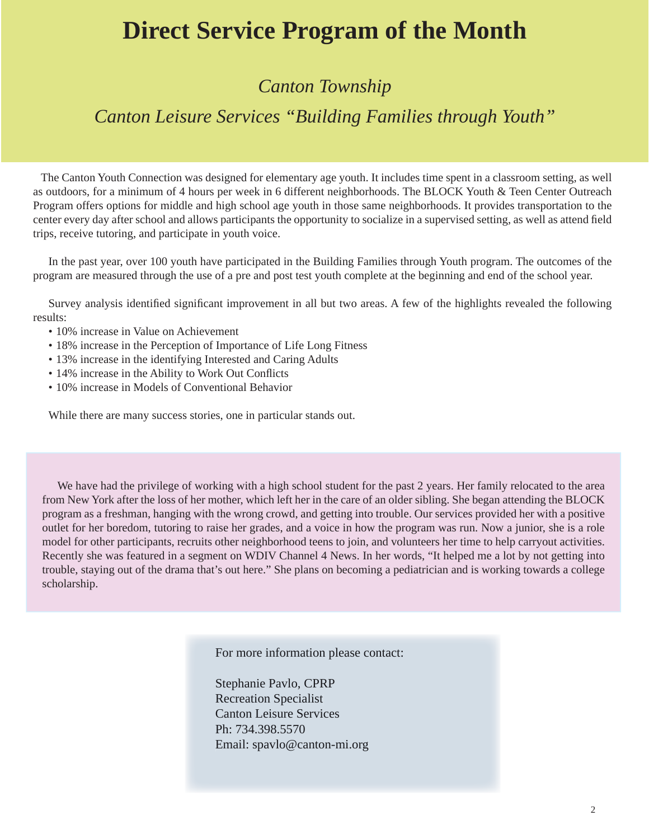# **Direct Service Program of the Month**

# *Canton Township*

# *Canton Leisure Services "Building Families through Youth"*

 The Canton Youth Connection was designed for elementary age youth. It includes time spent in a classroom setting, as well as outdoors, for a minimum of 4 hours per week in 6 different neighborhoods. The BLOCK Youth & Teen Center Outreach Program offers options for middle and high school age youth in those same neighborhoods. It provides transportation to the center every day after school and allows participants the opportunity to socialize in a supervised setting, as well as attend field trips, receive tutoring, and participate in youth voice.

In the past year, over 100 youth have participated in the Building Families through Youth program. The outcomes of the program are measured through the use of a pre and post test youth complete at the beginning and end of the school year.

Survey analysis identified significant improvement in all but two areas. A few of the highlights revealed the following results:

- 10% increase in Value on Achievement
- 18% increase in the Perception of Importance of Life Long Fitness
- 13% increase in the identifying Interested and Caring Adults
- 14% increase in the Ability to Work Out Conflicts
- 10% increase in Models of Conventional Behavior

While there are many success stories, one in particular stands out.

We have had the privilege of working with a high school student for the past 2 years. Her family relocated to the area from New York after the loss of her mother, which left her in the care of an older sibling. She began attending the BLOCK program as a freshman, hanging with the wrong crowd, and getting into trouble. Our services provided her with a positive outlet for her boredom, tutoring to raise her grades, and a voice in how the program was run. Now a junior, she is a role model for other participants, recruits other neighborhood teens to join, and volunteers her time to help carryout activities. Recently she was featured in a segment on WDIV Channel 4 News. In her words, "It helped me a lot by not getting into trouble, staying out of the drama that's out here." She plans on becoming a pediatrician and is working towards a college scholarship.

For more information please contact:

Stephanie Pavlo, CPRP Recreation Specialist Canton Leisure Services Ph: 734.398.5570 Email: spavlo@canton-mi.org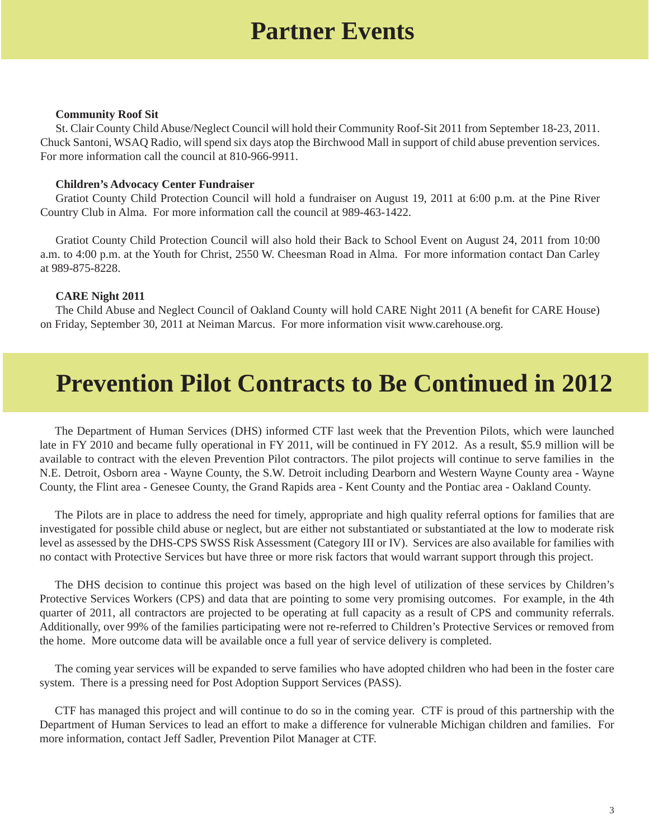# **Partner Events**

#### **Community Roof Sit**

St. Clair County Child Abuse/Neglect Council will hold their Community Roof-Sit 2011 from September 18-23, 2011. Chuck Santoni, WSAQ Radio, will spend six days atop the Birchwood Mall in support of child abuse prevention services. For more information call the council at 810-966-9911.

#### **Children's Advocacy Center Fundraiser**

Gratiot County Child Protection Council will hold a fundraiser on August 19, 2011 at 6:00 p.m. at the Pine River Country Club in Alma. For more information call the council at 989-463-1422.

Gratiot County Child Protection Council will also hold their Back to School Event on August 24, 2011 from 10:00 a.m. to 4:00 p.m. at the Youth for Christ, 2550 W. Cheesman Road in Alma. For more information contact Dan Carley at 989-875-8228.

#### **CARE Night 2011**

The Child Abuse and Neglect Council of Oakland County will hold CARE Night 2011 (A benefit for CARE House) on Friday, September 30, 2011 at Neiman Marcus. For more information visit www.carehouse.org.

# **Prevention Pilot Contracts to Be Continued in 2012**

The Department of Human Services (DHS) informed CTF last week that the Prevention Pilots, which were launched late in FY 2010 and became fully operational in FY 2011, will be continued in FY 2012. As a result, \$5.9 million will be available to contract with the eleven Prevention Pilot contractors. The pilot projects will continue to serve families in the N.E. Detroit, Osborn area - Wayne County, the S.W. Detroit including Dearborn and Western Wayne County area - Wayne County, the Flint area - Genesee County, the Grand Rapids area - Kent County and the Pontiac area - Oakland County.

The Pilots are in place to address the need for timely, appropriate and high quality referral options for families that are investigated for possible child abuse or neglect, but are either not substantiated or substantiated at the low to moderate risk level as assessed by the DHS-CPS SWSS Risk Assessment (Category III or IV). Services are also available for families with no contact with Protective Services but have three or more risk factors that would warrant support through this project.

The DHS decision to continue this project was based on the high level of utilization of these services by Children's Protective Services Workers (CPS) and data that are pointing to some very promising outcomes. For example, in the 4th quarter of 2011, all contractors are projected to be operating at full capacity as a result of CPS and community referrals. Additionally, over 99% of the families participating were not re-referred to Children's Protective Services or removed from the home. More outcome data will be available once a full year of service delivery is completed.

The coming year services will be expanded to serve families who have adopted children who had been in the foster care system. There is a pressing need for Post Adoption Support Services (PASS).

CTF has managed this project and will continue to do so in the coming year. CTF is proud of this partnership with the Department of Human Services to lead an effort to make a difference for vulnerable Michigan children and families. For more information, contact Jeff Sadler, Prevention Pilot Manager at CTF.